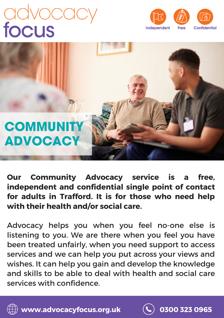# advocact





**Our Community Advocacy service is a free, independent and confidential single point of contact for adults in Trafford. It is for those who need help with their health and/or social care.**

Advocacy helps you when you feel no-one else is listening to you. We are there when you feel you have been treated unfairly, when you need support to access services and we can help you put across your views and wishes. It can help you gain and develop the knowledge and skills to be able to deal with health and social care services with confidence.



**www.advocacyfocus.org.uk 0300 323 0965**